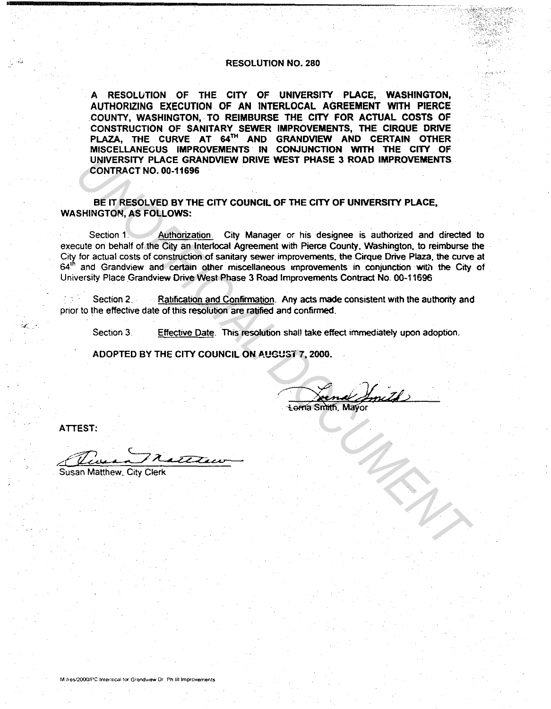## RESOLUTION NO. 280

A RESOLUTION OF THE CITY OF UNIVERSITY PLACE, WASHINGTON, AUTHORIZING EXECUTION OF AN INTERLOCAL AGREEMENT WITH PIERCE COUNTY, WASHINGTON, TO REIMBURSE THE CITY FOR ACTUAL COSTS OF CONSTRUCTION OF SANITARY SEWER IMPROVEMENTS, THE CIRQUE DRIVE PLAZA, THE CURVE AT 64™ AND GRANDVIEW AND CERTAIN OTHER MISCELLANEOUS IMPROVEMENTS IN CONJUNCTION WITH THE CITY OF UNIVERSITY PLACE GRANDVIEW DRIVE WEST PHASE 3 ROAD IMPROVEMENTS CONTRACT NO. 00-11696

BE IT RESOLVED BY THE CITY COUNCIL OF THE CITY OF UNIVERSITY PLACE, WASHINGTON, AS FOLLOWS:

Section 1. Authorization. City Manager or his designee is authorized and directed to execute on behalf of the City an Interlocal Agreement with Pierce County. Washington, to reimburse the City for actual costs of construction of sanitary sewer improvements, the Cirque Drive Plaza, the curve at 64<sup>th</sup> and Grandview and certain other miscellaneous improvements in conjunction with the City of University Place Grandview Drive West Phase 3 Road Improvements Contract No. 00-11696 UNIVERSITY PLACE GRANDVIEW DRIVE WEST PHASE 3 ROAD IMPROVEMENTS<br>
CONTRACT NO. 00-11696<br>
SHINGTON, AS FOLLOWS:<br>
SHINGTON, AS FOLLOWS:<br>
SHINGTON, AS FOLLOWS:<br>
Section 1 of Minditzation. City Manager or his designee is author

Section 2. Ratification and Confirmation. Any acts made consistent with the authority and pnor to the effective date of this resolution are ratified and confirmed.

Section 3. Effective Date. This resolution shall take effect immediately upon adoption.

ADOPTED BY THE CITY COUNCIL ON AUGUST 7, 2000.

ATIEST:

usan Matthew. City Clerk

M /res/2000/PC Interlocal for Grandview Dr. Ph III improvements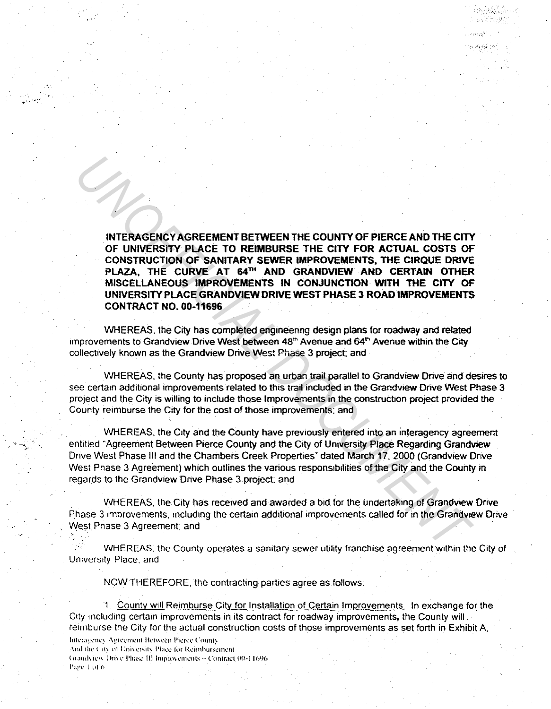INTERAGENCY AGREEMENT BETWEEN THE COUNTY OF PIERCE AND THE CITY OF UNIVERSITY PLACE TO REIMBURSE THE CITY FOR ACTUAL COSTS OF CONSTRUCTION OF SANITARY SEWER IMPROVEMENTS, THE CIRQUE DRIVE PLAZA, THE CURVE AT 64™ AND GRANDVIEW AND CERTAIN OTHER MISCELLANEOUS IMPROVEMENTS IN CONJUNCTION WITH THE CITY OF UNIVERSITY PLACE GRANDVIEW DRIVE WEST PHASE 3 ROAD IMPROVEMENTS CONTRACT NO. 00-11696 **INTEREACTIVE ASSEMBLATE DETAINED TO THE COUNTY OF PIERCE AND THE CITY OF UNIVERSITY PLACE TO REIMBURSE THE CITY FOR ACTUAL COSTS OF CONSTRUCTION OF SANITARY SEWER MPROVEMENTS, THE CIRQUE DRIVER AT SAME PARAMOVIEW AND CERT** 

 $\cdot$   $\cdot$   $\cdot$   $\cdot$   $\cdot$   $\cdot$ 

WHEREAS, the City has completed engineering design plans for roadway and related improvements to Grandview Drive West between 48<sup>th</sup> Avenue and 64<sup>th</sup> Avenue within the City collectively known as the Grandview Drive West Phase 3 project; and

WHEREAS. the County has proposed an urban trail parallel to Grandview Drive and desires to see certain additional improvements related to this trail included in the Grandview Drive West Phase 3 project and the City is willing to include those Improvements in the construction project provided the County reimburse the City for the cost of those improvements: and

WHEREAS. the City and the County have previously entered into an interagency agreement entitled "Agreement Between Pierce County and the City of University Place Regarding Grandview Drive West Phase Ill and the Chambers Creek Properties" dated March 17. 2000 (Grandview Dnve West Phase 3 Agreement) which outlines the various responsibilities of the City and the County in regards to the Grandview Dnve Phase 3 project: and

WHEREAS. the City has received and awarded a bid for the undertaking of Grandview Drive Phase 3 improvements. mcludmg the certain additional improvements called for in the Grandview Drive West Phase 3 Agreement; and

WHEREAS. the County operates a sanitary sewer utility franchise agreement within the City of University Place. and

NOW THEREFORE. the contracting parties agree as follows:

1 County will Reimburse City for Installation of Certain Improvements. In exchange for the City including certain improvements in its contract for roadway improvements, the County will reimburse the City for the actual construction costs of those improvements as set forth in Exhibit A,

Interagency Agreement Between Pierce County And the City of University Place for Reimbursement (it and view Drive Phase III Improvements - Contract 00-11696) l'age 1 of 6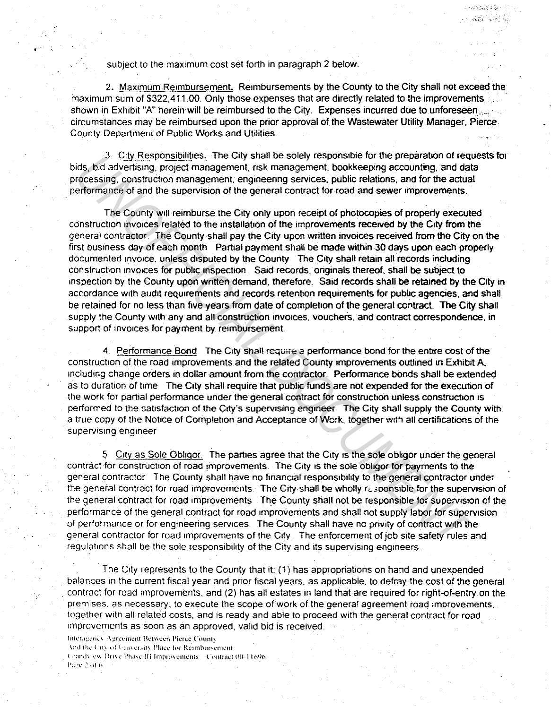subject to the maximum cost set forth in paragraph 2 below.

2. Maximum Reimbursement. Reimbursements by the County to the City shall not exceed the maximum sum of \$322,411.00. Only those expenses that are directly related to the improvements shown in Exhibit "A" herein will be reimbursed to the City. Expenses incurred due to unforeseen circumstances may be reimbursed upon the prior approval of the Wastewater Utility Manager. Pierce County Departmerit of Public Works and Utilities.

,,.,,,

2008年10月

3. City Responsibilities. The City shall be solely responsible for the preparation of requests for bids, bid advertising, proiect management. nsk management. bookkeeping accounting, and data processing, construction management, engineering services, public relations, and for the actual performance of and the supervision of the general contract for road and sewer improvements.

The County wlll reimburse the City only upon receipt of photocopies of properly executed construction invoices related to the installallon of the improvements received by the City from the general contractor The County shall pay the City upon written invoices received from the City on the first business day of each month Partial payment shall be made within 30 days upon each properly documented invoice, unless disputed by the County The City shall retain all records including constructron invoices for pubhc inspection Said records. onginals thereof, shall be subject to inspection by the County upon written demand, therefore. Said records shall be retained by the City in accordance with audit requirements and records retention requirements for public agencies. and shall be retained for no less than five years from date of completion of the general contract. The City shall supply the County with any and all construction invoices, vouchers, and contract correspondence, in support of invoices for payment by reimbursement. <sup>3</sup> Littly Keeshonshinging. The Cuity shall be solely responsible for the pheparation of required to the present constant contessing construction, mand corressing construction management, risk management, bookkeeping accou

4. Performance Bond. The City shall require a performance bond for the entire cost of the construction of the road improvements and the related County improvements outlined 1n Exhibit A. rncludmg change orders in dollar amount from the conlractor. Performance bonds shall be extended as to duration of trme The City shall require that public funds are not expended for the execution of the work for partial performance under the general contract for construction unless construction is performed to the satisfaction of the City's supervising engineer. The City shall supply the County with a true copy of the Notice of Completion and Acceptance of Work. together wrth all certificalions of the supervising engineer

5 Crty as Sole Oblrgor The parties agree that the City 1s the sole obhgor under the general contract for construction of road improvements. The City is the sole obligor for payments to the general contractor. The County shall have no financial responsibility to the general contractor under the general contract for road improvements. The City shall be wholly responsible for the supervision of the general contract for road rmprovements The County shall not be responsible for supervision of the performance of the general contract for road improvements and shall not supply labor for supervision of performance or for engineering services The County shall have no pnvity of contract with the general contractor for road improvements of the City. The enforcement of job site safety rules and regulations shall be the sole responsibility of the City and its supervising engineers.

The City represents to the County that it: ( 1) has appropriations on hand and unexpended balances in the current fiscal year and prior fiscal years, as applicable, to defray the cost of the general contract for road improvements, and (2) has all estates in land that are required for right-of-entry on the premises. as necessary. to execute the scope of work of the general agreement road improvements. together with all related costs, and is ready and able to proceed with the general contract for road improvements as soon as an approved, valid bid is received.

Interagency Agreement Between Pierce County And the City of University Place for Reimbursement. (trandview Drive Phase III Improvements = Contract 00-11696) Page 2 of 6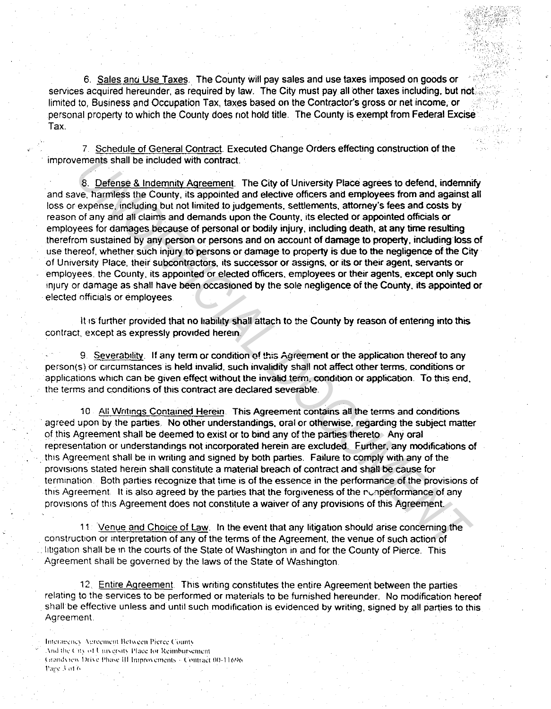6. Sales anu Use Taxes. The County will pay sales and use taxes imposed on goods or services acquired hereunder, as required by law. The City must pay all other taxes including, but not limited to, Business and Occupation Tax, taxes based on the Contractor's gross or net income, or personal property to which the County does not hold title. The County is exempt from Federal Excise Tax.

7. Schedule of General Contract. Executed Change Orders effecting construction of the improvements shall be included with contract.

8. Defense & Indemnity Agreement. The City of University Place agrees to defend, indemnify and save, harmless the County, its appointed and elective officers and employees from and against all loss or expense, including but not limited to judgements, settlements, attorney's fees and costs by reason of any and all claims and demands upon the County. its elected or appointed officials or employees for damages because of personal or bodily injury, including death. at any time resulting therefrom sustained by any person or persons and on account of damage to property. including· 1oss of use thereof, whether such injury to persons or damage to property is due to the negligence of the City of University Place. their subcontractors. its successor or assigns. or its or their agent. servants or employees. the County. its appointed or elected officers. employees or their agents. except only such injury or damage as shall have been occasioned by the sole negligence of the County, its appointed or elected offlc1als or employees **Examples shall be included with contract.** The City of University Place agrees to defend, indemnites the mannifest the County, its appointed and elective officers and employees from and against text harmless the found of

It is further provided that no liability shall attach to the County by reason of entering into this contract. except as expressly provided herein.

9. Severability. If any term or condition of this Agreement or the application thereof to any person(s) or circumstances is held invalid. such invalidity shall not affect other terms. conditions or applications which can be given effect without the invalid term. condition or application. To this end. the terms and conditions of this contract are declared severable.

10 All Writings Contained Herein. This Agreement contains all the terms and conditions agreed upon by the parties. No other understandings. oral or otherwise. regarding the subject matter of this Agreement shall be deemed to exist or to bind any of the parties thereto Any oral representation or understandings not incorporated herein are excluded. Further. any modifications of . this Agreement shall be in writing and signed by both parties. Failure to comply with any of the provisions stated herein shall constitute a material breach of contract and shall be cause for termination. Both parties recognize that time is of the essence in the performance of the provisions of this Agreement. It is also agreed by the parties that the forgiveness of the runperformance of any provisions of this Agreement does not constitute a waiver of any provisions of this Agreement.

11 Venue and Choice of Law. In the event that any litigation should arise concerning the construction or interpretation of any of the terms of the Agreement. the venue of such action of Iltigation shall be in the courts of the State of Washington in and for the County of Pierce. This Agreement shall be governed by the laws of the State of Washington.

12. Entire Agreement. This writing constitutes the entire Agreement between the parties relating to the services to be performed or materials to be furnished hereunder. No modification hereof . shall be effective unless and until such modification is evidenced by writing, signed by all parties to this Agreement

Interagency. Agreement Between Picree County And the City of University Place for Reimbursement. Urandytew Drive Phase III Improvements - Contract 00-11696. 1\1~:1: .\ n1 I•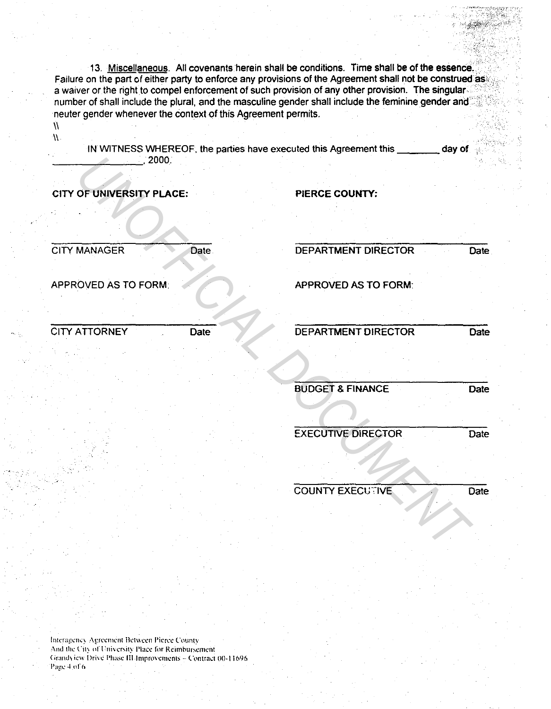13. Miscellaneous. All covenants herein shall be conditions. Time shall be of the essence. Failure on the part of either party to enforce any provisions of the Agreement shall not be construed as a waiver or the right to compel enforcement of such provision of any other provision. The singular number of shall include the plural, and the masculine gender shall include the feminine gender and neuter gender whenever the context of this Agreement permits.

Ŵ  $\Lambda$ 

IN WITNESS WHEREOF, the parties have executed this Agreement this day of  $.2000.$ 

**CITY OF UNIVERSITY PLACE:** 

PIERCE COUNTY:

**CITY MANAGER** 

Date

APPROVED AS TO FORM:

**DEPARTMENT DIRECTOR** 

Date

APPROVED AS TO FORM:

**CITY ATTORNEY Date**  DEPARTMENT DIRECTOR

**Date** 

**BUDGET & FINANCE** 

**Date** 

**EXECUTIVE DIRECTOR** Date

**COUNTY EXECUTIVE** 

**Date** 

Interagency Agreement Between Pierce County And the City of University Place for Reimbursement Grandview Drive Phase III Improvements - Contract 00-11696 Page 4 of 6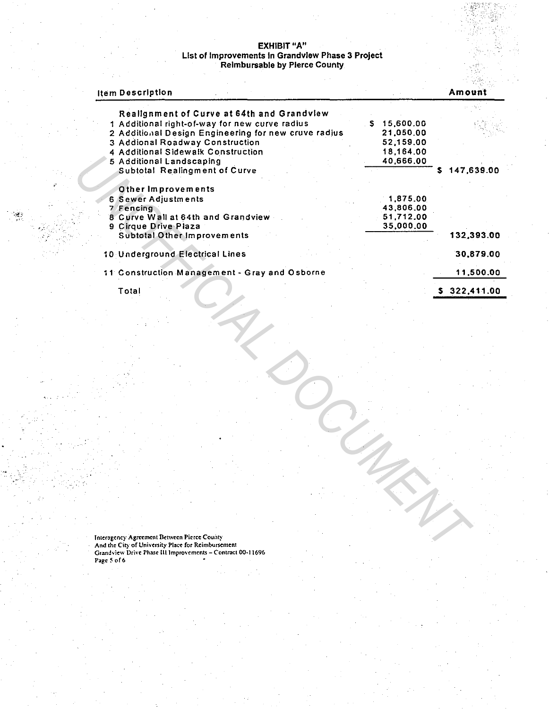## EXHIBIT "A"<br>List of Improvements in Grandview Phase 3 Project<br>Reimbursable by Pierce County

| ltem Description                                     |                 | Amount          |
|------------------------------------------------------|-----------------|-----------------|
| Realignment of Curve at 64th and Grandview           |                 |                 |
| 1 Additional right-of-way for new curve radius       | 15,600.00<br>S. |                 |
| 2 Additional Design Engineering for new cruve radius | 21,050.00       |                 |
| 3 Addional Roadway Construction                      | 52,159,00       |                 |
| 4 Additional Sidewalk Construction                   | 18,164,00       |                 |
| 5 Additional Landscaping                             | 40,666.00       |                 |
| <b>Subtotal Realingment of Curve</b>                 |                 | 147,639.00<br>s |
| Other Improvements                                   |                 |                 |
| 6 Sewer Adjustments                                  | 1,875,00        |                 |
| 7 Fencing                                            | 43,806.00       |                 |
| 8 Curve Wall at 64th and Grandview                   | 51,712.00       |                 |
| 9 Cirque Drive Plaza                                 | 35,000.00       |                 |
| Subtotal Other Improvements                          |                 | 132,393.00      |
| 10 Underground Electrical Lines                      |                 | 30.879.00       |
| 11 Construction Management - Gray and Osborne        |                 | 11,500.00       |
| Total                                                |                 | 322.411.00      |
|                                                      |                 |                 |

Intersgency Agreement Between Pierce County<br>And the City of University Place for Reimbursement<br>Grandview Drive Phase III Improvements – Contract 00-11696<br>Page 5 of 6